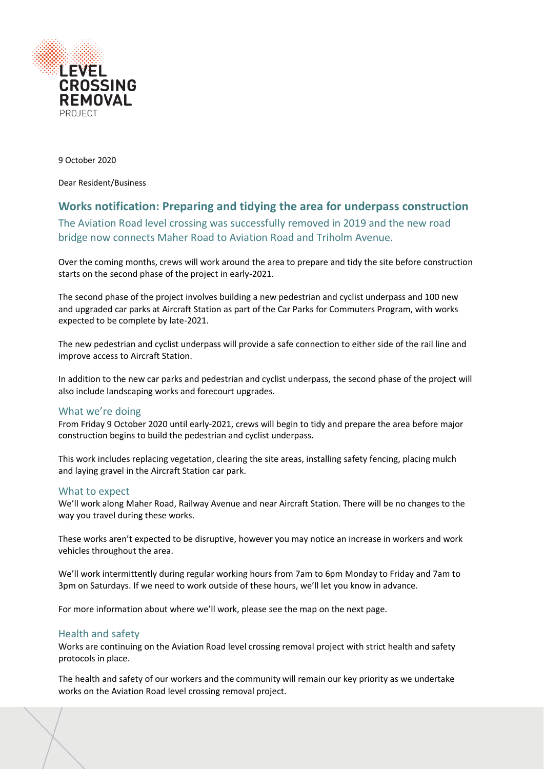

9 October 2020

Dear Resident/Business

# **Works notification: Preparing and tidying the area for underpass construction**

The Aviation Road level crossing was successfully removed in 2019 and the new road bridge now connects Maher Road to Aviation Road and Triholm Avenue.

Over the coming months, crews will work around the area to prepare and tidy the site before construction starts on the second phase of the project in early-2021.

The second phase of the project involves building a new pedestrian and cyclist underpass and 100 new and upgraded car parks at Aircraft Station as part of the Car Parks for Commuters Program, with works expected to be complete by late-2021.

The new pedestrian and cyclist underpass will provide a safe connection to either side of the rail line and improve access to Aircraft Station.

In addition to the new car parks and pedestrian and cyclist underpass, the second phase of the project will also include landscaping works and forecourt upgrades.

# What we're doing

From Friday 9 October 2020 until early-2021, crews will begin to tidy and prepare the area before major construction begins to build the pedestrian and cyclist underpass.

This work includes replacing vegetation, clearing the site areas, installing safety fencing, placing mulch and laying gravel in the Aircraft Station car park.

### What to expect

We'll work along Maher Road, Railway Avenue and near Aircraft Station. There will be no changes to the way you travel during these works.

These works aren't expected to be disruptive, however you may notice an increase in workers and work vehicles throughout the area.

We'll work intermittently during regular working hours from 7am to 6pm Monday to Friday and 7am to 3pm on Saturdays. If we need to work outside of these hours, we'll let you know in advance.

For more information about where we'll work, please see the map on the next page.

# Health and safety

Works are continuing on the Aviation Road level crossing removal project with strict health and safety protocols in place.

The health and safety of our workers and the community will remain our key priority as we undertake works on the Aviation Road level crossing removal project.